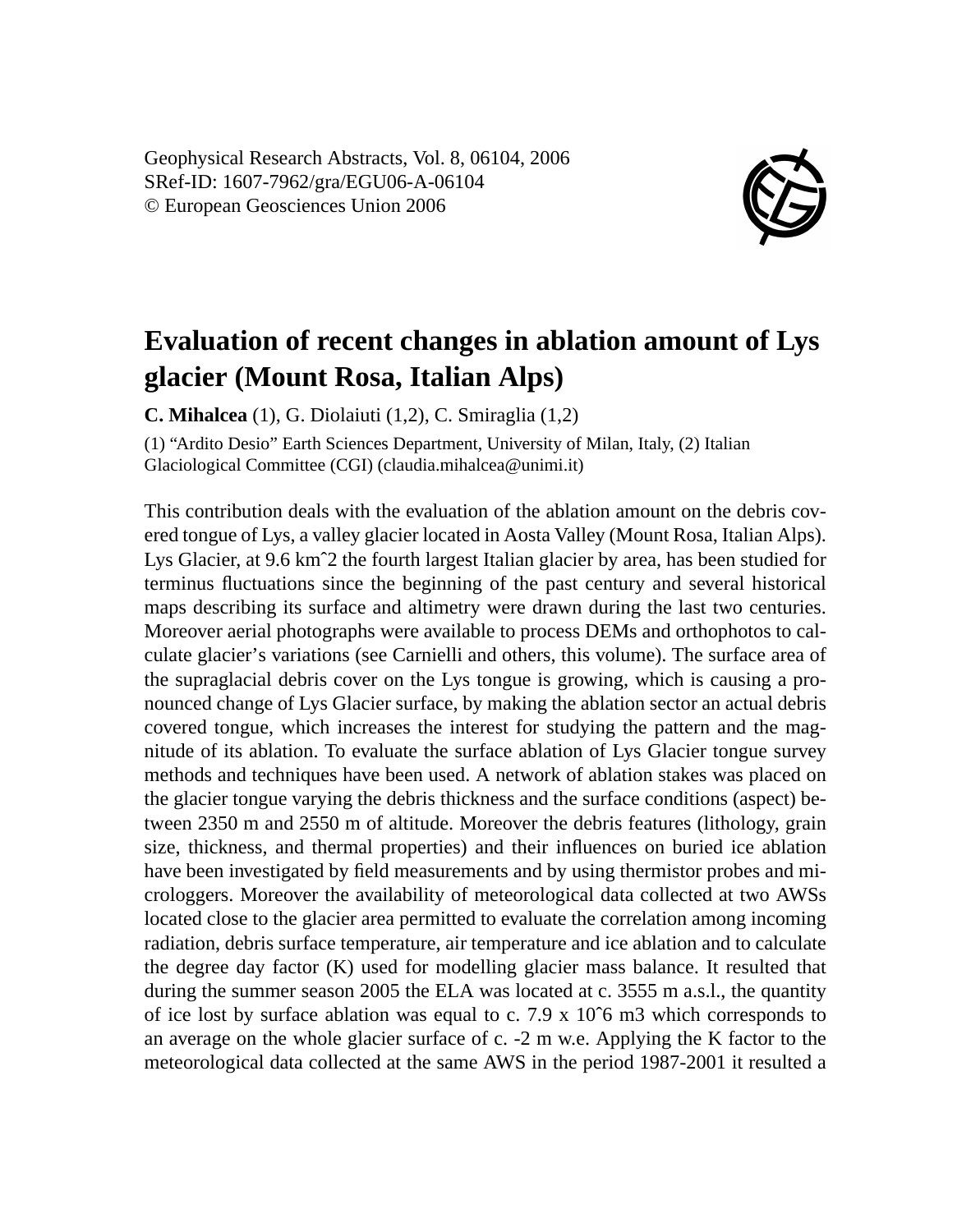Geophysical Research Abstracts, Vol. 8, 06104, 2006 SRef-ID: 1607-7962/gra/EGU06-A-06104 © European Geosciences Union 2006



## **Evaluation of recent changes in ablation amount of Lys glacier (Mount Rosa, Italian Alps)**

**C. Mihalcea** (1), G. Diolaiuti (1,2), C. Smiraglia (1,2)

(1) "Ardito Desio" Earth Sciences Department, University of Milan, Italy, (2) Italian Glaciological Committee (CGI) (claudia.mihalcea@unimi.it)

This contribution deals with the evaluation of the ablation amount on the debris covered tongue of Lys, a valley glacier located in Aosta Valley (Mount Rosa, Italian Alps). Lys Glacier, at 9.6 kmˆ2 the fourth largest Italian glacier by area, has been studied for terminus fluctuations since the beginning of the past century and several historical maps describing its surface and altimetry were drawn during the last two centuries. Moreover aerial photographs were available to process DEMs and orthophotos to calculate glacier's variations (see Carnielli and others, this volume). The surface area of the supraglacial debris cover on the Lys tongue is growing, which is causing a pronounced change of Lys Glacier surface, by making the ablation sector an actual debris covered tongue, which increases the interest for studying the pattern and the magnitude of its ablation. To evaluate the surface ablation of Lys Glacier tongue survey methods and techniques have been used. A network of ablation stakes was placed on the glacier tongue varying the debris thickness and the surface conditions (aspect) between 2350 m and 2550 m of altitude. Moreover the debris features (lithology, grain size, thickness, and thermal properties) and their influences on buried ice ablation have been investigated by field measurements and by using thermistor probes and microloggers. Moreover the availability of meteorological data collected at two AWSs located close to the glacier area permitted to evaluate the correlation among incoming radiation, debris surface temperature, air temperature and ice ablation and to calculate the degree day factor (K) used for modelling glacier mass balance. It resulted that during the summer season 2005 the ELA was located at c. 3555 m a.s.l., the quantity of ice lost by surface ablation was equal to c.  $7.9 \times 10^{6}$  m3 which corresponds to an average on the whole glacier surface of c. -2 m w.e. Applying the K factor to the meteorological data collected at the same AWS in the period 1987-2001 it resulted a